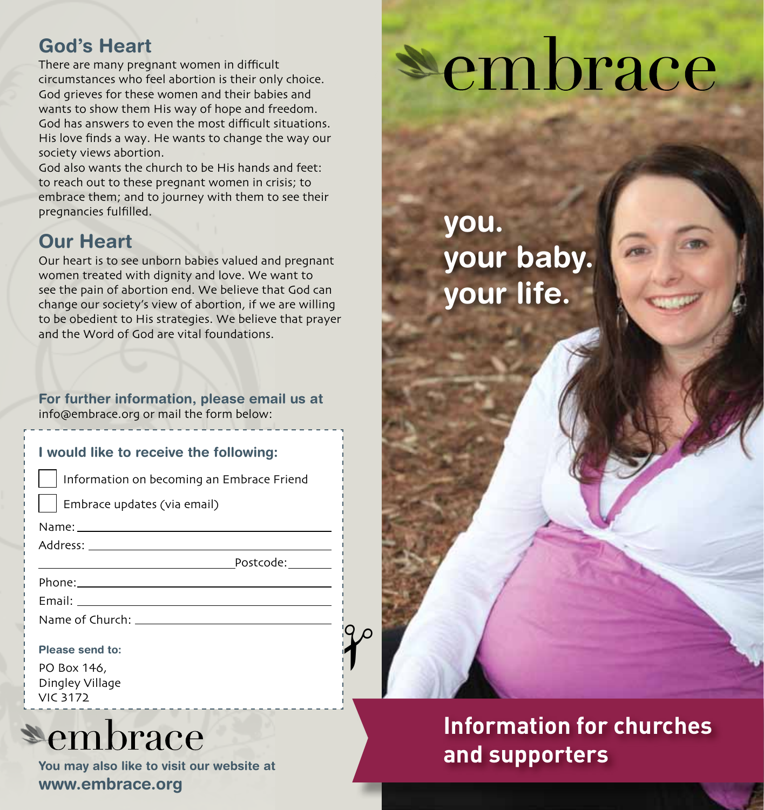## **God's Heart**

There are many pregnant women in difficult circumstances who feel abortion is their only choice. God grieves for these women and their babies and wants to show them His way of hope and freedom. God has answers to even the most difficult situations. His love finds a way. He wants to change the way our society views abortion.

God also wants the church to be His hands and feet: to reach out to these pregnant women in crisis; to embrace them; and to journey with them to see their pregnancies fulfilled.

### **Our Heart**

Our heart is to see unborn babies valued and pregnant women treated with dignity and love. We want to see the pain of abortion end. We believe that God can change our society's view of abortion, if we are willing to be obedient to His strategies. We believe that prayer and the Word of God are vital foundations.

**For further information, please email us at** info@embrace.org or mail the form below:

| I would like to receive the following:                                                                                                                                                                                         |
|--------------------------------------------------------------------------------------------------------------------------------------------------------------------------------------------------------------------------------|
| Information on becoming an Embrace Friend                                                                                                                                                                                      |
| $\vert \phantom{a} \vert$ Embrace updates (via email)                                                                                                                                                                          |
|                                                                                                                                                                                                                                |
|                                                                                                                                                                                                                                |
|                                                                                                                                                                                                                                |
|                                                                                                                                                                                                                                |
| Email: Email: All and the state of the state of the state of the state of the state of the state of the state of the state of the state of the state of the state of the state of the state of the state of the state of the s |
| Name of Church: Name of Church                                                                                                                                                                                                 |
|                                                                                                                                                                                                                                |
| Please send to:                                                                                                                                                                                                                |

 $\gamma$ 

| PO Box 146,     |
|-----------------|
| Dingley Village |
| <b>VIC 3172</b> |

# **\*embrace**

**You may also like to visit our website at www.embrace.org**

# embrace

**you. your baby. your life.**

**Information for churches and supporters**